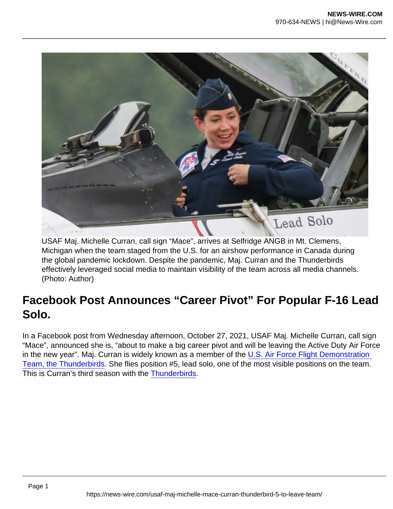USAF Maj. Michelle Curran, call sign "Mace", arrives at Selfridge ANGB in Mt. Clemens, Michigan when the team staged from the U.S. for an airshow performance in Canada during the global pandemic lockdown. Despite the pandemic, Maj. Curran and the Thunderbirds effectively leveraged social media to maintain visibility of the team across all media channels. (Photo: Author)

## Facebook Post Announces "Career Pivot" For Popular F-16 Lead Solo.

In a Facebook post from Wednesday afternoon, October 27, 2021, USAF Maj. Michelle Curran, call sign "Mace", announced she is, "about to make a big career pivot and will be leaving the Active Duty Air Force in the new year". Maj. Curran is widely known as a member of the U.S. Air Force Flight Demonstration [Team, the Thunderbirds](https://theaviationist.com/2020/05/16/behind-the-scenes-look-at-refueling-of-the-blue-angels-and-thunderbirds-during-america-strong-flyovers/). She flies position #5, lead solo, one of the most visible positions on the team. This is Curran's third season with the [Thunderbirds.](https://www.af.mil/About-Us/Fact-Sheets/Display/Article/104552/thunderbirds/)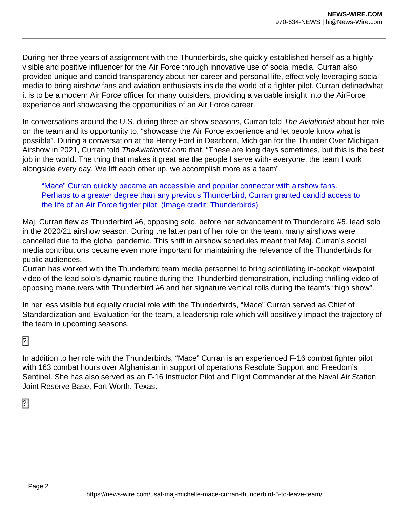During her three years of assignment with the Thunderbirds, she quickly established herself as a highly visible and positive influencer for the Air Force through innovative use of social media. Curran also provided unique and candid transparency about her career and personal life, effectively leveraging social media to bring airshow fans and aviation enthusiasts inside the world of a fighter pilot. Curran definedwhat it is to be a modern Air Force officer for many outsiders, providing a valuable insight into the AirForce experience and showcasing the opportunities of an Air Force career.

In conversations around the U.S. during three air show seasons, Curran told The Aviationist about her role on the team and its opportunity to, "showcase the Air Force experience and let people know what is possible". During a conversation at the Henry Ford in Dearborn, Michigan for the Thunder Over Michigan Airshow in 2021, Curran told TheAviationist.com that, "These are long days sometimes, but this is the best job in the world. The thing that makes it great are the people I serve with- everyone, the team I work alongside every day. We lift each other up, we accomplish more as a team".

["Mace" Curran quickly became an accessible and popular connector with airshow fans.](https://i2.wp.com/theaviationist.com/wp-content/uploads/2021/10/CurranLeaves_20.jpg?ssl=1)  [Perhaps to a greater degree than any previous Thunderbird, Curran granted candid access to](https://i2.wp.com/theaviationist.com/wp-content/uploads/2021/10/CurranLeaves_20.jpg?ssl=1)  [the life of an Air Force fighter pilot. \(Image credit: Thunderbirds\)](https://i2.wp.com/theaviationist.com/wp-content/uploads/2021/10/CurranLeaves_20.jpg?ssl=1)

Maj. Curran flew as Thunderbird #6, opposing solo, before her advancement to Thunderbird #5, lead solo in the 2020/21 airshow season. During the latter part of her role on the team, many airshows were cancelled due to the global pandemic. This shift in airshow schedules meant that Maj. Curran's social media contributions became even more important for maintaining the relevance of the Thunderbirds for public audiences.

Curran has worked with the Thunderbird team media personnel to bring scintillating in-cockpit viewpoint video of the lead solo's dynamic routine during the Thunderbird demonstration, including thrilling video of opposing maneuvers with Thunderbird #6 and her signature vertical rolls during the team's "high show".

In her less visible but equally crucial role with the Thunderbirds, "Mace" Curran served as Chief of Standardization and Evaluation for the team, a leadership role which will positively impact the trajectory of the team in upcoming seasons.

## $\overline{p}$

In addition to her role with the Thunderbirds, "Mace" Curran is an experienced F-16 combat fighter pilot with 163 combat hours over Afghanistan in support of operations Resolute Support and Freedom's Sentinel. She has also served as an F-16 Instructor Pilot and Flight Commander at the Naval Air Station Joint Reserve Base, Fort Worth, Texas.

## $\overline{P}$